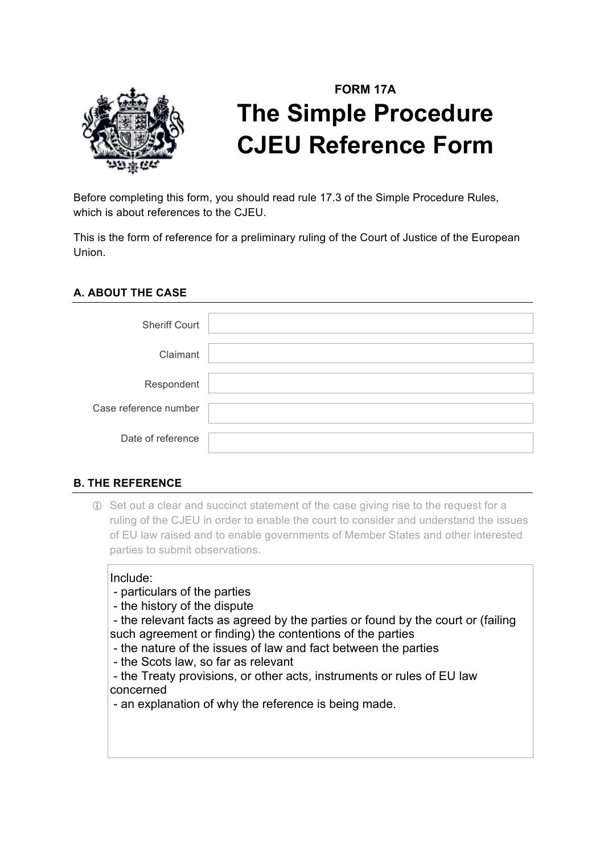

# **FORM 17A The Simple Procedure CJEU Reference Form**

Before completing this form, you should read rule 17.3 of the Simple Procedure Rules, which is about references to the CJEU.

This is the form of reference for a preliminary ruling of the Court of Justice of the European Union.

#### **A. ABOUT THE CASE**

| <b>Sheriff Court</b>  |  |
|-----------------------|--|
| Claimant              |  |
| Respondent            |  |
| Case reference number |  |
| Date of reference     |  |

## **B. THE REFERENCE**

! Set out a clear and succinct statement of the case giving rise to the request for a ruling of the CJEU in order to enable the court to consider and understand the issues of EU law raised and to enable governments of Member States and other interested parties to submit observations.

#### Include:

- particulars of the parties
- the history of the dispute
- the relevant facts as agreed by the parties or found by the court or (failing such agreement or finding) the contentions of the parties
- the nature of the issues of law and fact between the parties
- the Scots law, so far as relevant
- the Treaty provisions, or other acts, instruments or rules of EU law concerned
- an explanation of why the reference is being made.